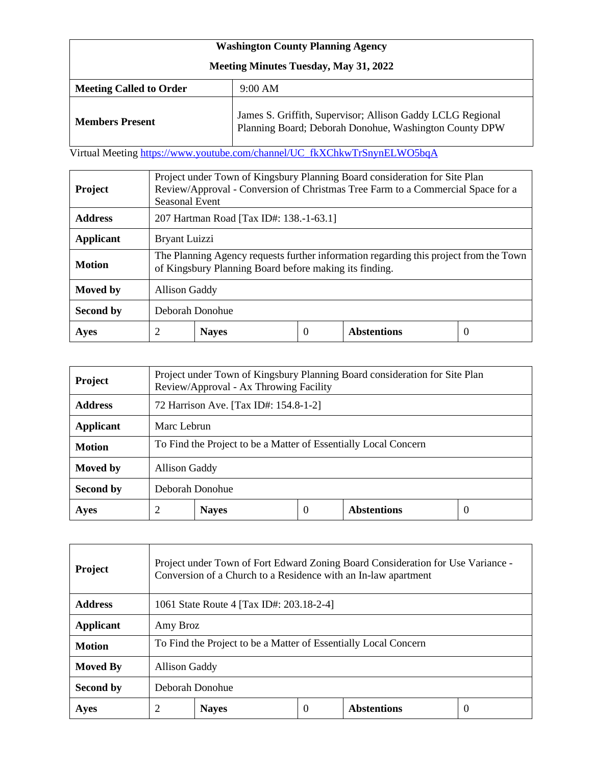| <b>Washington County Planning Agency</b>     |                                                                                                                      |  |  |  |  |
|----------------------------------------------|----------------------------------------------------------------------------------------------------------------------|--|--|--|--|
| <b>Meeting Minutes Tuesday, May 31, 2022</b> |                                                                                                                      |  |  |  |  |
| <b>Meeting Called to Order</b>               | $9:00$ AM                                                                                                            |  |  |  |  |
| <b>Members Present</b>                       | James S. Griffith, Supervisor; Allison Gaddy LCLG Regional<br>Planning Board; Deborah Donohue, Washington County DPW |  |  |  |  |

Virtual Meeting [https://www.youtube.com/channel/UC\\_fkXChkwTrSnynELWO5bqA](https://www.youtube.com/channel/UC_fkXChkwTrSnynELWO5bqA)

| <b>Project</b>   | Project under Town of Kingsbury Planning Board consideration for Site Plan<br>Review/Approval - Conversion of Christmas Tree Farm to a Commercial Space for a<br>Seasonal Event |              |   |                    |   |
|------------------|---------------------------------------------------------------------------------------------------------------------------------------------------------------------------------|--------------|---|--------------------|---|
| <b>Address</b>   | 207 Hartman Road [Tax ID#: 138.-1-63.1]                                                                                                                                         |              |   |                    |   |
| <b>Applicant</b> | Bryant Luizzi                                                                                                                                                                   |              |   |                    |   |
| <b>Motion</b>    | The Planning Agency requests further information regarding this project from the Town<br>of Kingsbury Planning Board before making its finding.                                 |              |   |                    |   |
| Moved by         | <b>Allison Gaddy</b>                                                                                                                                                            |              |   |                    |   |
| Second by        | Deborah Donohue                                                                                                                                                                 |              |   |                    |   |
| Ayes             | 2                                                                                                                                                                               | <b>Nayes</b> | 0 | <b>Abstentions</b> | 0 |

| <b>Project</b>   | Project under Town of Kingsbury Planning Board consideration for Site Plan<br>Review/Approval - Ax Throwing Facility |              |          |                    |          |
|------------------|----------------------------------------------------------------------------------------------------------------------|--------------|----------|--------------------|----------|
| <b>Address</b>   | 72 Harrison Ave. [Tax ID#: 154.8-1-2]                                                                                |              |          |                    |          |
| <b>Applicant</b> | Marc Lebrun                                                                                                          |              |          |                    |          |
| <b>Motion</b>    | To Find the Project to be a Matter of Essentially Local Concern                                                      |              |          |                    |          |
| Moved by         | <b>Allison Gaddy</b>                                                                                                 |              |          |                    |          |
| Second by        | Deborah Donohue                                                                                                      |              |          |                    |          |
| Ayes             | 2                                                                                                                    | <b>Nayes</b> | $\theta$ | <b>Abstentions</b> | $\theta$ |

| <b>Project</b>   | Project under Town of Fort Edward Zoning Board Consideration for Use Variance -<br>Conversion of a Church to a Residence with an In-law apartment |              |   |                    |          |
|------------------|---------------------------------------------------------------------------------------------------------------------------------------------------|--------------|---|--------------------|----------|
| <b>Address</b>   | 1061 State Route 4 [Tax ID#: 203.18-2-4]                                                                                                          |              |   |                    |          |
| <b>Applicant</b> | Amy Broz                                                                                                                                          |              |   |                    |          |
| <b>Motion</b>    | To Find the Project to be a Matter of Essentially Local Concern                                                                                   |              |   |                    |          |
| <b>Moved By</b>  | Allison Gaddy                                                                                                                                     |              |   |                    |          |
| Second by        | Deborah Donohue                                                                                                                                   |              |   |                    |          |
| <b>Ayes</b>      | 2                                                                                                                                                 | <b>Naves</b> | 0 | <b>Abstentions</b> | $\theta$ |